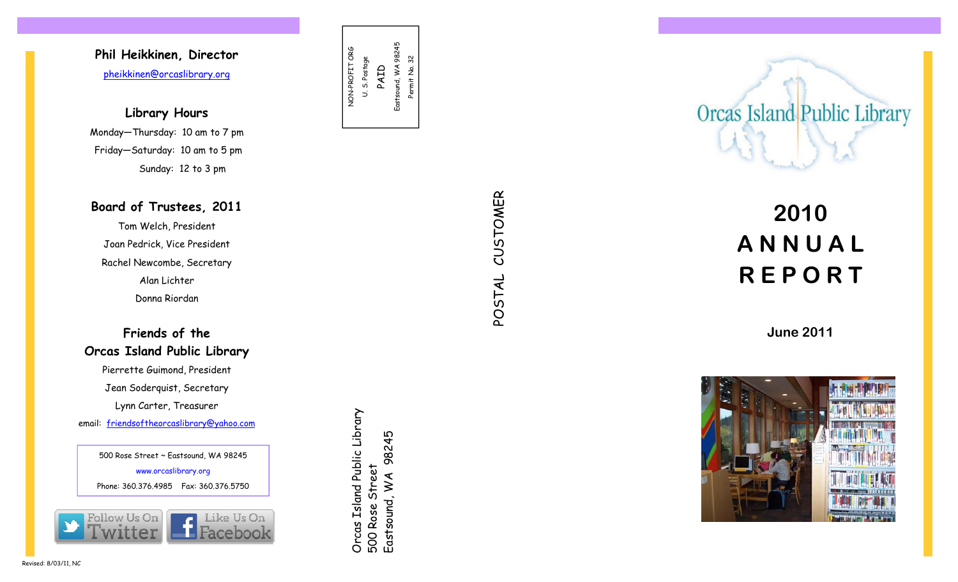## **Phil Heikkinen, Director**  pheikkinen@orcaslibrary.org

**Library Hours** Monday—Thursday: 10 am to 7 pm Friday—Saturday: 10 am to 5 pm Sunday: 12 to 3 pm

### **Board of Trustees, 2011**

Tom Welch, President Joan Pedrick, Vice President Rachel Newcombe, Secretary Alan Lichter Donna Riordan

**Friends of the Orcas Island Public Library**  Pierrette Guimond, President Jean Soderquist, Secretary Lynn Carter, Treasurer email: friendsoftheorcaslibrary@yahoo.com

Orcas Island Public Library 500 Rose Street East Accel Castsound, WA 98245 www.orcaslibrary.org www.orcaslibrary.org Phone: 360.376.4985 Fax: 360.376.5750<br>Phone: 360.376.4985 Fax: 360.376.5750<br>Phone: 360.376.4985 Fax: 360.376.5750<br>Phone: 360.376.4985 Fax: 360.376.57

NON-PROFIT ORG U. S. Postage PAID Eastsound, WA 98245 Permit No. 32

NON-PROFIT ORG<br>U. S. Postage

Eastsound, WA 98245

Permit No. 32

POSTAL CUSTOMER CUSTOMER POSTAL



# **2010 A N N U A L R E P O R T**

**June 2011**